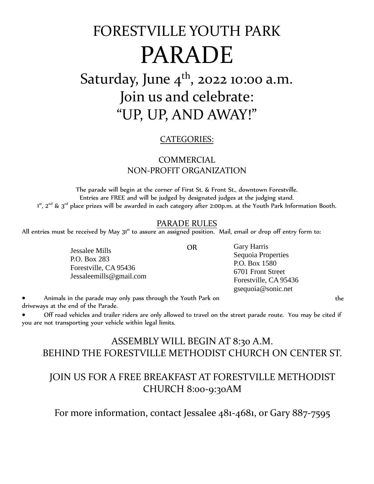# FORESTVILLE YOUTH PARK PARADE

# Saturday, June 4<sup>th</sup>, 2022 10:00 a.m. Join us and celebrate: "UP, UP, AND AWAY!"

#### CATEGORIES:

#### COMMERCIAL NON-PROFIT ORGANIZATION

The parade will begin at the corner of First St. & Front St., downtown Forestville. Entries are FREE and will be judged by designated judges at the judging stand. 1st, 2 $^{\rm{nd}}$  & 3 $^{\rm{rd}}$  place prizes will be awarded in each category after 2:00p.m. at the Youth Park Information Booth.

#### PARADE RULES

OR

All entries must be received by May  $3^{1st}$  to assure an assigned position. Mail, email or drop off entry form to:

Jessalee Mills P.O. Box 283 Forestville, CA 95436 Jessaleemills@gmail.com Gary Harris Sequoia Properties P.O. Box 1580 6701 Front Street Forestville, CA 95436 gsequoia@sonic.net

• Animals in the parade may only pass through the Youth Park on the driveways at the end of the Parade.

• Off road vehicles and trailer riders are only allowed to travel on the street parade route. You may be cited if you are not transporting your vehicle within legal limits.

### ASSEMBLY WILL BEGIN AT 8:30 A.M. BEHIND THE FORESTVILLE METHODIST CHURCH ON CENTER ST.

## JOIN US FOR A FREE BREAKFAST AT FORESTVILLE METHODIST CHURCH 8:00-9:30AM

For more information, contact Jessalee 481-4681, or Gary 887-7595